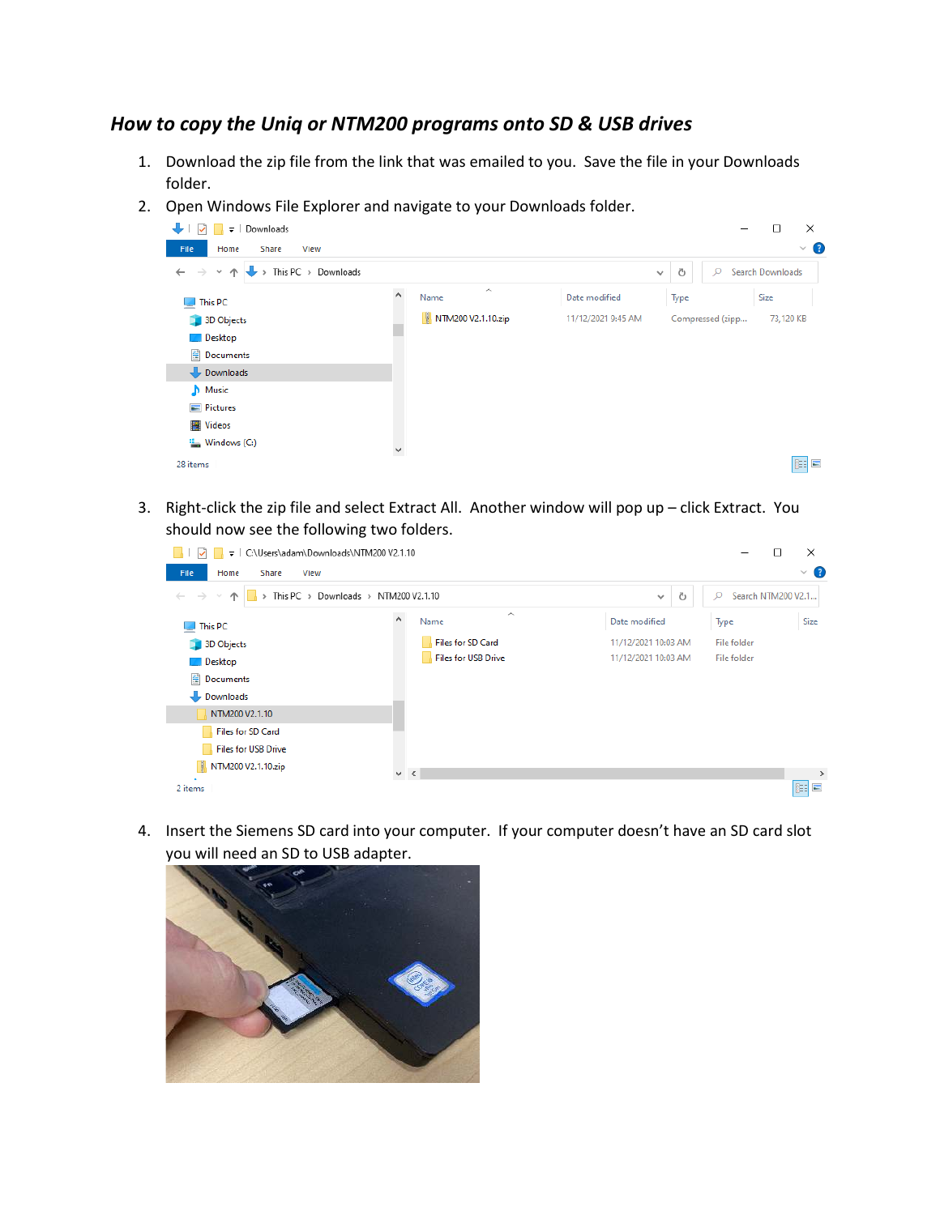## *How to copy the Uniq or NTM200 programs onto SD & USB drives*

- 1. Download the zip file from the link that was emailed to you. Save the file in your Downloads folder.
- 2. Open Windows File Explorer and navigate to your Downloads folder.



3. Right-click the zip file and select Extract All. Another window will pop up – click Extract. You should now see the following two folders.

| C:\Users\adam\Downloads\NTM200 V2.1.10<br>$\overline{\phantom{a}}$   |                                        |                     | □                       | ×                   |
|----------------------------------------------------------------------|----------------------------------------|---------------------|-------------------------|---------------------|
| File<br>Home<br>Share<br>View                                        |                                        |                     |                         | $\vee$ $\bullet$    |
| $\rightarrow$<br>$\leftarrow$<br>$\sim$<br>$\wedge$<br>$\rightarrow$ | This PC > Downloads > NTM200 V2.1.10   | Ō<br>$\checkmark$   | Search NTM200 V2.1<br>Q |                     |
| This PC                                                              | $\wedge$<br>$\bar{\mathbf{A}}$<br>Name | Date modified       | Type                    | Size                |
| 3D Objects                                                           | <b>Files for SD Card</b>               | 11/12/2021 10:03 AM | File folder             |                     |
| $\Box$ Desktop                                                       | <b>Files for USB Drive</b>             | 11/12/2021 10:03 AM | File folder             |                     |
| 晉<br>Documents                                                       |                                        |                     |                         |                     |
| Downloads                                                            |                                        |                     |                         |                     |
| NTM200 V2.1.10                                                       |                                        |                     |                         |                     |
| <b>Files for SD Card</b>                                             |                                        |                     |                         |                     |
| <b>Files for USB Drive</b>                                           |                                        |                     |                         |                     |
| Q.<br>NTM200 V2.1.10.zip                                             | $\vee$ $\leq$                          |                     |                         | $\rightarrow$       |
| 2 items                                                              |                                        |                     |                         | 明<br>$\blacksquare$ |

4. Insert the Siemens SD card into your computer. If your computer doesn't have an SD card slot you will need an SD to USB adapter.

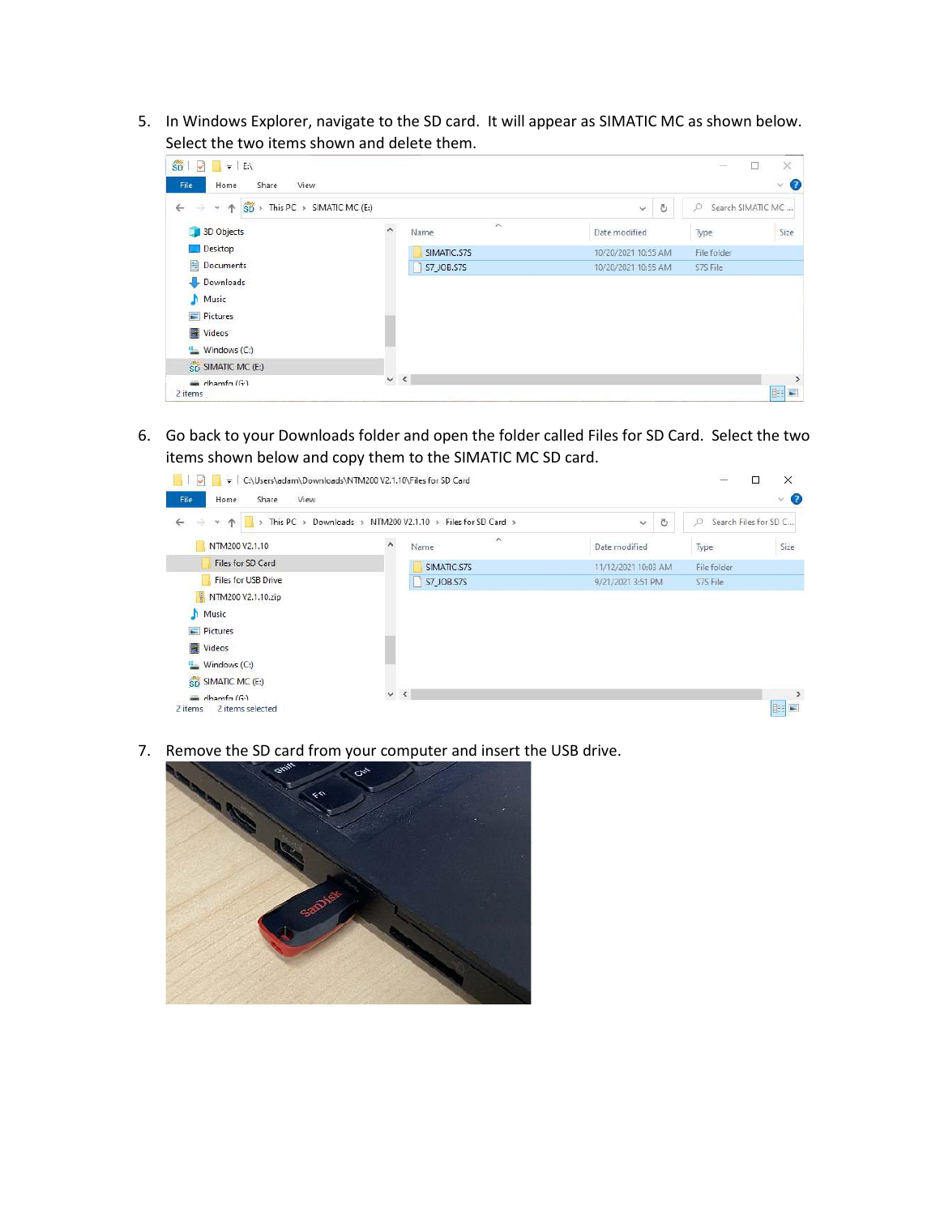5. In Windows Explorer, navigate to the SD card. It will appear as SIMATIC MC as shown below. Select the two items shown and delete them.

| $\rightarrow$<br>$\leftarrow$<br>$\mathcal{M}_\mathrm{c}$ | $\overrightarrow{SD}$ > This PC > SIMATIC MC (E:) | Ō<br>$\checkmark$   | Search SIMATIC MC<br>ø |
|-----------------------------------------------------------|---------------------------------------------------|---------------------|------------------------|
| 3D Objects                                                | $\wedge$<br>$\hat{\phantom{a}}$<br>Name           | Date modified       | Size<br>Type           |
| Desktop                                                   | SIMATIC.S7S                                       | 10/20/2021 10:55 AM | File folder            |
| 兽<br>Documents                                            | <b>S7_JOB.S7S</b>                                 | 10/20/2021 10:55 AM | S7S File               |
| Downloads                                                 |                                                   |                     |                        |
| Music<br>n                                                |                                                   |                     |                        |
| $=$ Pictures                                              |                                                   |                     |                        |
| Videos                                                    |                                                   |                     |                        |
| Windows (C:)                                              |                                                   |                     |                        |
|                                                           |                                                   |                     |                        |
| SD SIMATIC MC (E:)                                        |                                                   |                     |                        |

6. Go back to your Downloads folder and open the folder called Files for SD Card. Select the two items shown below and copy them to the SIMATIC MC SD card.



7. Remove the SD card from your computer and insert the USB drive.